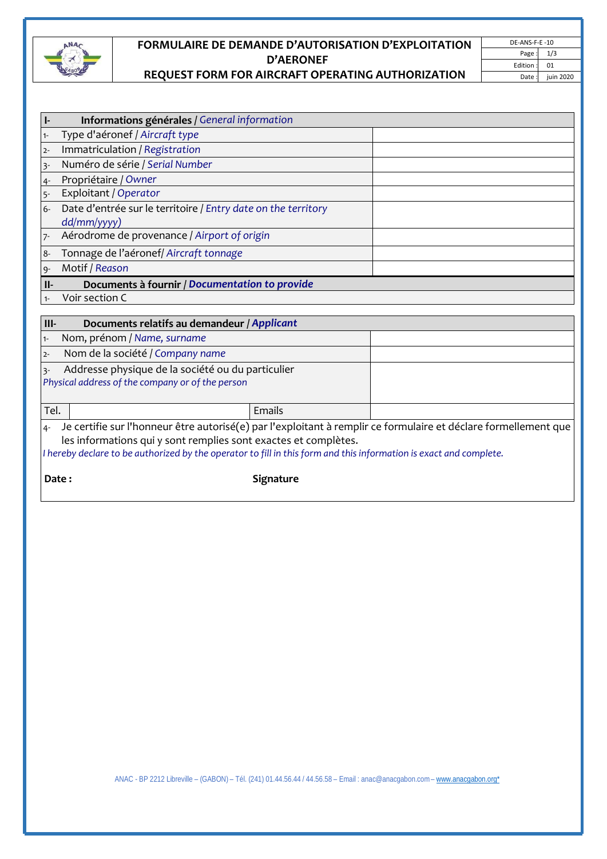

## **FORMULAIRE DE DEMANDE D'AUTORISATION D'EXPLOITATION D'AERONEF REQUEST FORM FOR AIRCRAFT OPERATING AUTHORIZATION**

| Ŀ               | Informations générales / General information                                                          |  |
|-----------------|-------------------------------------------------------------------------------------------------------|--|
| $1 -$           | Type d'aéronef / Aircraft type                                                                        |  |
| $2 -$           | Immatriculation / Registration                                                                        |  |
| $3 -$           | Numéro de série / Serial Number                                                                       |  |
| $4 -$           | Propriétaire / Owner                                                                                  |  |
| $5 -$           | Exploitant / Operator                                                                                 |  |
| $6-$            | Date d'entrée sur le territoire / Entry date on the territory<br>dd/mm/yyyy)                          |  |
| $7-$            | Aérodrome de provenance / Airport of origin                                                           |  |
| $8-$            | Tonnage de l'aéronef/ Aircraft tonnage                                                                |  |
|                 | Motif / Reason                                                                                        |  |
|                 |                                                                                                       |  |
| $II-$           | Documents à fournir / Documentation to provide                                                        |  |
| $9 -$<br>$1 -$  | Voir section C                                                                                        |  |
|                 |                                                                                                       |  |
|                 | Documents relatifs au demandeur / Applicant                                                           |  |
| $1 -$           | Nom, prénom / Name, surname                                                                           |  |
| $III-$<br>$2 -$ | Nom de la société / Company name                                                                      |  |
| $3 -$           | Addresse physique de la société ou du particulier<br>Physical address of the company or of the person |  |

4‐ Je certifie sur l'honneur être autorisé(e) par l'exploitant à remplir ce formulaire et déclare formellement que les informations qui y sont remplies sont exactes et complètes.

I hereby declare to be authorized by the operator to fill in this form and this information is exact and complete.

**Date: Date: Signature**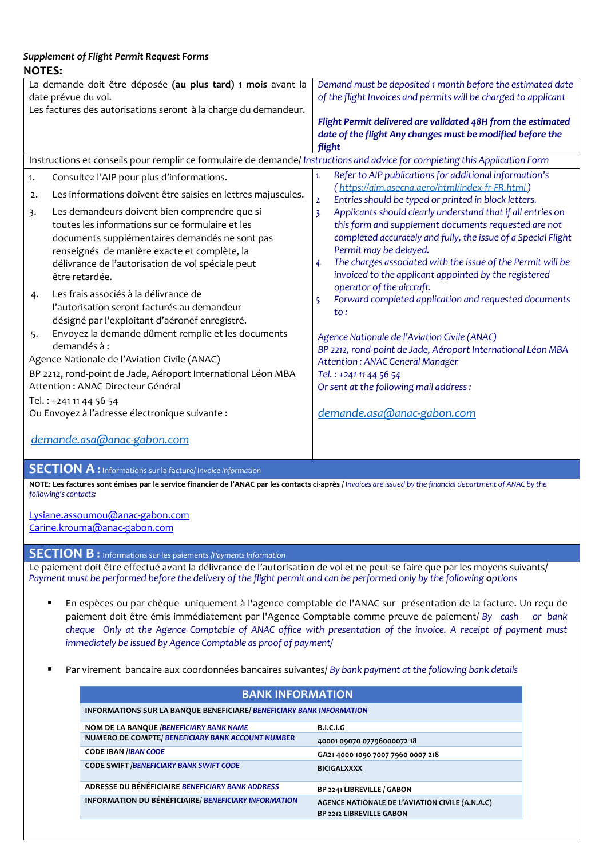## *Supplement of Flight Permit Request Forms* **NOTES:**

| La demande doit être déposée (au plus tard) 1 mois avant la     |                                                                                                                              |                | Demand must be deposited 1 month before the estimated date                              |
|-----------------------------------------------------------------|------------------------------------------------------------------------------------------------------------------------------|----------------|-----------------------------------------------------------------------------------------|
| date prévue du vol.                                             |                                                                                                                              |                | of the flight Invoices and permits will be charged to applicant                         |
| Les factures des autorisations seront à la charge du demandeur. |                                                                                                                              |                |                                                                                         |
|                                                                 |                                                                                                                              |                | Flight Permit delivered are validated 48H from the estimated                            |
|                                                                 |                                                                                                                              |                | date of the flight Any changes must be modified before the                              |
|                                                                 |                                                                                                                              | flight         |                                                                                         |
|                                                                 | Instructions et conseils pour remplir ce formulaire de demande/ Instructions and advice for completing this Application Form |                |                                                                                         |
| 1.                                                              | Consultez l'AIP pour plus d'informations.                                                                                    | 1.             | Refer to AIP publications for additional information's                                  |
| 2.                                                              | Les informations doivent être saisies en lettres majuscules.                                                                 |                | (https://aim.asecna.aero/html/index-fr-FR.html)                                         |
|                                                                 |                                                                                                                              | 2.             | Entries should be typed or printed in block letters.                                    |
| 3.                                                              | Les demandeurs doivent bien comprendre que si<br>toutes les informations sur ce formulaire et les                            | $\overline{3}$ | Applicants should clearly understand that if all entries on                             |
|                                                                 |                                                                                                                              |                | this form and supplement documents requested are not                                    |
|                                                                 | documents supplémentaires demandés ne sont pas                                                                               |                | completed accurately and fully, the issue of a Special Flight<br>Permit may be delayed. |
|                                                                 | renseignés de manière exacte et complète, la                                                                                 | 4.             | The charges associated with the issue of the Permit will be                             |
|                                                                 | délivrance de l'autorisation de vol spéciale peut<br>être retardée.                                                          |                | invoiced to the applicant appointed by the registered                                   |
|                                                                 |                                                                                                                              |                | operator of the aircraft.                                                               |
| 4.                                                              | Les frais associés à la délivrance de                                                                                        | 5.             | Forward completed application and requested documents                                   |
|                                                                 | l'autorisation seront facturés au demandeur                                                                                  |                | $\mathsf{to}$ :                                                                         |
|                                                                 | désigné par l'exploitant d'aéronef enregistré.                                                                               |                |                                                                                         |
| 5.                                                              | Envoyez la demande dûment remplie et les documents                                                                           |                | Agence Nationale de l'Aviation Civile (ANAC)                                            |
|                                                                 | demandés à :                                                                                                                 |                | BP 2212, rond-point de Jade, Aéroport International Léon MBA                            |
| Agence Nationale de l'Aviation Civile (ANAC)                    |                                                                                                                              |                | <b>Attention: ANAC General Manager</b>                                                  |
| BP 2212, rond-point de Jade, Aéroport International Léon MBA    |                                                                                                                              |                | Tel.: +241 11 44 56 54                                                                  |
| Attention : ANAC Directeur Général                              |                                                                                                                              |                | Or sent at the following mail address:                                                  |
| Tel.: +241 11 44 56 54                                          |                                                                                                                              |                |                                                                                         |
| Ou Envoyez à l'adresse électronique suivante :                  |                                                                                                                              |                | demande.asa@anac-gabon.com                                                              |
|                                                                 |                                                                                                                              |                |                                                                                         |
| demande.asa@anac-gabon.com                                      |                                                                                                                              |                |                                                                                         |

## **SECTION A :** Informations sur la facture/ *Invoice Information*

NOTE: Les factures sont émises par le service financier de l'ANAC par les contacts ci-après / Invoices are issued by the financial department of ANAC by the *following's contacts:*

Lysiane.assoumou@anac‐gabon.com Carine.krouma@anac‐gabon.com

## **SECTION B :** Informations sur les paiements *|Payments Information*

Le paiement doit être effectué avant la délivrance de l'autorisation de vol et ne peut se faire que par les moyens suivants/ Payment must be performed before the delivery of the flight permit and can be performed only by the following options

- En espèces ou par chèque uniquement à l'agence comptable de l'ANAC sur présentation de la facture. Un reçu de paiement doit être émis immédiatement par l'Agence Comptable comme preuve de paiement/ *By cash or bank* cheque Only at the Agence Comptable of ANAC office with presentation of the invoice. A receipt of payment must *immediately be issued by Agence Comptable as proof of payment/*
- Par virement bancaire aux coordonnées bancaires suivantes/ *By bank payment atthe following bank details*

| <b>BANK INFORMATION</b>                                                     |                                                                                    |  |  |  |
|-----------------------------------------------------------------------------|------------------------------------------------------------------------------------|--|--|--|
| <b>INFORMATIONS SUR LA BANQUE BENEFICIARE/ BENEFICIARY BANK INFORMATION</b> |                                                                                    |  |  |  |
| NOM DE LA BANQUE / BENEFICIARY BANK NAME                                    | <b>B.I.C.I.G</b>                                                                   |  |  |  |
| NUMERO DE COMPTE/ BENEFICIARY BANK ACCOUNT NUMBER                           | 40001 09070 07796000072 18                                                         |  |  |  |
| <b>CODE IBAN /IBAN CODE</b>                                                 | GA21 4000 1090 7007 7960 0007 218                                                  |  |  |  |
| <b>CODE SWIFT /BENEFICIARY BANK SWIFT CODE</b>                              | <b>BICIGALXXXX</b>                                                                 |  |  |  |
| ADRESSE DU BÉNÉFICIAIRE BENEFICIARY BANK ADDRESS                            | BP 2241 LIBREVILLE / GABON                                                         |  |  |  |
| <b>INFORMATION DU BÉNÉFICIAIRE/ BENEFICIARY INFORMATION</b>                 | AGENCE NATIONALE DE L'AVIATION CIVILE (A.N.A.C)<br><b>BP 2212 LIBREVILLE GABON</b> |  |  |  |
|                                                                             |                                                                                    |  |  |  |